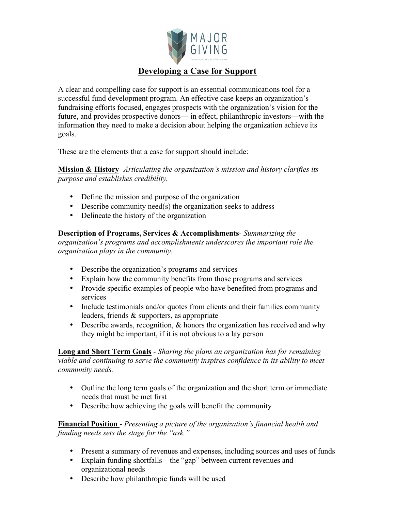

## **Developing a Case for Support**

A clear and compelling case for support is an essential communications tool for a successful fund development program. An effective case keeps an organization's fundraising efforts focused, engages prospects with the organization's vision for the future, and provides prospective donors— in effect, philanthropic investors—with the information they need to make a decision about helping the organization achieve its goals.

These are the elements that a case for support should include:

**Mission & History**- *Articulating the organization's mission and history clarifies its purpose and establishes credibility.*

- Define the mission and purpose of the organization
- Describe community need(s) the organization seeks to address
- Delineate the history of the organization

## **Description of Programs, Services & Accomplishments**- *Summarizing the*

*organization's programs and accomplishments underscores the important role the organization plays in the community.* 

- Describe the organization's programs and services
- Explain how the community benefits from those programs and services
- Provide specific examples of people who have benefited from programs and services
- Include testimonials and/or quotes from clients and their families community leaders, friends & supporters, as appropriate
- Describe awards, recognition, & honors the organization has received and why they might be important, if it is not obvious to a lay person

**Long and Short Term Goals** - *Sharing the plans an organization has for remaining viable and continuing to serve the community inspires confidence in its ability to meet community needs.* 

- Outline the long term goals of the organization and the short term or immediate needs that must be met first
- Describe how achieving the goals will benefit the community

**Financial Position** - *Presenting a picture of the organization's financial health and funding needs sets the stage for the "ask."* 

- Present a summary of revenues and expenses, including sources and uses of funds
- Explain funding shortfalls—the "gap" between current revenues and organizational needs
- Describe how philanthropic funds will be used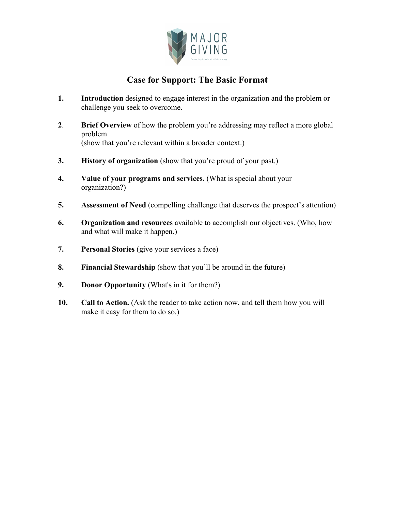

## **Case for Support: The Basic Format**

- **1. Introduction** designed to engage interest in the organization and the problem or challenge you seek to overcome.
- **2**. **Brief Overview** of how the problem you're addressing may reflect a more global problem (show that you're relevant within a broader context.)
- **3. History of organization** (show that you're proud of your past.)
- **4. Value of your programs and services.** (What is special about your organization?)
- **5. Assessment of Need** (compelling challenge that deserves the prospect's attention)
- **6. Organization and resources** available to accomplish our objectives. (Who, how and what will make it happen.)
- **7. Personal Stories** (give your services a face)
- **8. Financial Stewardship** (show that you'll be around in the future)
- **9. Donor Opportunity** (What's in it for them?)
- **10. Call to Action.** (Ask the reader to take action now, and tell them how you will make it easy for them to do so.)